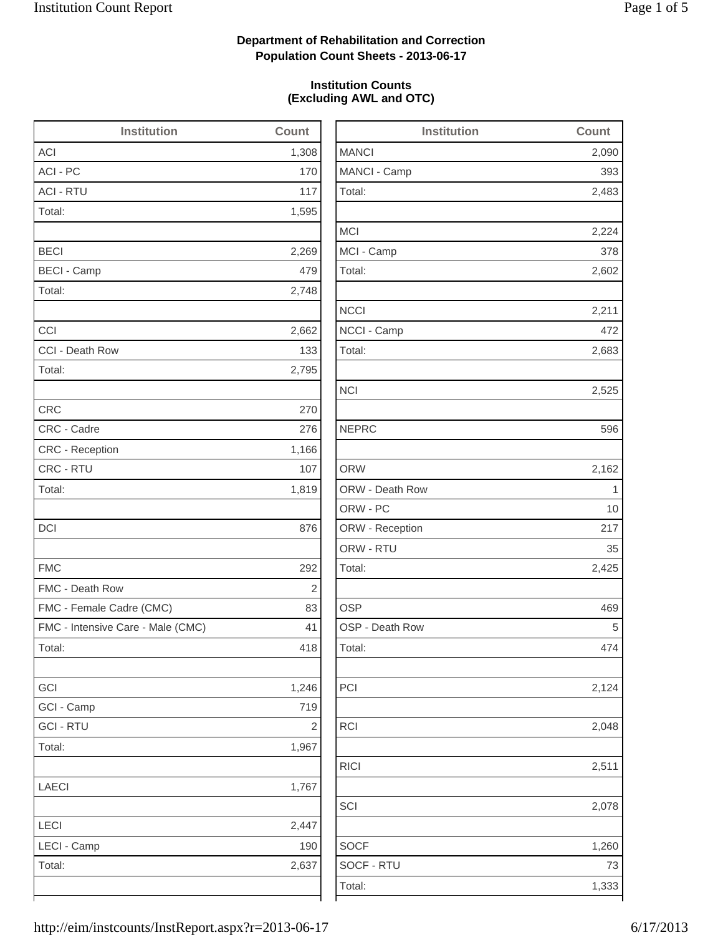2,483

2,224

2,602

2,683

2,124

2,078

1,260

## **Department of Rehabilitation and Correction Population Count Sheets - 2013-06-17**

### **Institution Counts (Excluding AWL and OTC)**

| <b>Institution</b>                | Count      | <b>Institution</b> | Count       |
|-----------------------------------|------------|--------------------|-------------|
| <b>ACI</b>                        | 1,308      | <b>MANCI</b>       | 2,090       |
| ACI - PC                          | 170        | MANCI - Camp       | 393         |
| <b>ACI - RTU</b>                  | 117        | Total:             | 2,483       |
| Total:                            | 1,595      |                    |             |
|                                   |            | <b>MCI</b>         | 2,224       |
| <b>BECI</b>                       | 2,269      | MCI - Camp         | 378         |
| <b>BECI - Camp</b>                | 479        | Total:             | 2,602       |
| Total:                            | 2,748      |                    |             |
|                                   |            | <b>NCCI</b>        | 2,211       |
| CCI                               | 2,662      | NCCI - Camp        | 472         |
| CCI - Death Row                   | 133        | Total:             | 2,683       |
| Total:                            | 2,795      |                    |             |
|                                   |            | <b>NCI</b>         | 2,525       |
| <b>CRC</b>                        | 270        |                    |             |
| CRC - Cadre                       | 276        | <b>NEPRC</b>       | 596         |
| CRC - Reception                   | 1,166      |                    |             |
| CRC - RTU                         | 107        | <b>ORW</b>         | 2,162       |
| Total:                            | 1,819      | ORW - Death Row    | $\mathbf 1$ |
|                                   |            | ORW - PC           | 10          |
| DCI                               | 876        | ORW - Reception    | 217         |
|                                   |            | ORW - RTU          | 35          |
| <b>FMC</b>                        | 292        | Total:             | 2,425       |
| FMC - Death Row                   | 2          |                    |             |
| FMC - Female Cadre (CMC)          | 83         | <b>OSP</b>         | 469         |
| FMC - Intensive Care - Male (CMC) | 41         | OSP - Death Row    | 5           |
| Total:                            | 418        | Total:             | 474         |
| GCI                               | 1,246      | PCI                | 2,124       |
| GCI - Camp                        | 719        |                    |             |
| <b>GCI - RTU</b>                  | $\sqrt{2}$ | <b>RCI</b>         | 2,048       |
| Total:                            | 1,967      |                    |             |
|                                   |            | <b>RICI</b>        | 2,511       |
| <b>LAECI</b>                      | 1,767      |                    |             |
|                                   |            | SCI                | 2,078       |
| LECI                              | 2,447      |                    |             |
| LECI - Camp                       | 190        | <b>SOCF</b>        | 1,260       |
| Total:                            | 2,637      | SOCF - RTU         | 73          |
|                                   |            | Total:             | 1,333       |
|                                   |            |                    |             |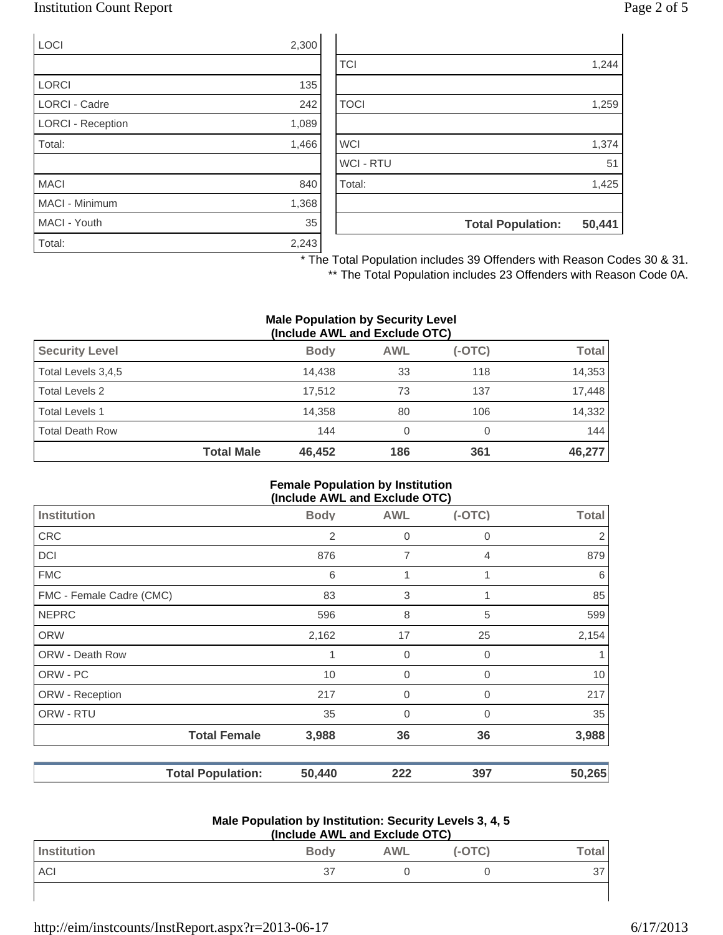### Institution Count Report Page 2 of 5

| <b>LOCI</b>              | 2,300 |
|--------------------------|-------|
|                          |       |
| <b>LORCI</b>             | 135   |
| LORCI - Cadre            | 242   |
| <b>LORCI - Reception</b> | 1,089 |
| Total:                   | 1,466 |
|                          |       |
| <b>MACI</b>              | 840   |
| MACI - Minimum           | 1,368 |
| MACI - Youth             | 35    |
| Total:                   | 2,243 |

|                  | <b>Total Population:</b> | 50,441 |
|------------------|--------------------------|--------|
|                  |                          |        |
| Total:           |                          | 1,425  |
| <b>WCI - RTU</b> |                          | 51     |
| <b>WCI</b>       |                          | 1,374  |
|                  |                          |        |
| <b>TOCI</b>      |                          | 1,259  |
|                  |                          |        |
| <b>TCI</b>       |                          | 1,244  |

\* The Total Population includes 39 Offenders with Reason Codes 30 & 31.

\*\* The Total Population includes 23 Offenders with Reason Code 0A.

#### **Male Population by Security Level (Include AWL and Exclude OTC)**

|                        | $\mathbf{u}$      |             |            |          |              |  |
|------------------------|-------------------|-------------|------------|----------|--------------|--|
| <b>Security Level</b>  |                   | <b>Body</b> | <b>AWL</b> | $(-OTC)$ | <b>Total</b> |  |
| Total Levels 3,4,5     |                   | 14.438      | 33         | 118      | 14,353       |  |
| Total Levels 2         |                   | 17.512      | 73         | 137      | 17,448       |  |
| <b>Total Levels 1</b>  |                   | 14.358      | 80         | 106      | 14,332       |  |
| <b>Total Death Row</b> |                   | 144         | 0          |          | 144          |  |
|                        | <b>Total Male</b> | 46.452      | 186        | 361      | 46,277       |  |

#### **Female Population by Institution (Include AWL and Exclude OTC)**

|                          |                          | $($ melddo $\pi$ meldhol exelddo o ro $\eta$ |                |                |              |
|--------------------------|--------------------------|----------------------------------------------|----------------|----------------|--------------|
| <b>Institution</b>       |                          | <b>Body</b>                                  | <b>AWL</b>     | $(-OTC)$       | <b>Total</b> |
| <b>CRC</b>               |                          | 2                                            | $\mathbf 0$    | 0              | 2            |
| <b>DCI</b>               |                          | 876                                          | $\overline{7}$ | $\overline{4}$ | 879          |
| <b>FMC</b>               |                          | 6                                            | 1              |                | 6            |
| FMC - Female Cadre (CMC) |                          | 83                                           | 3              |                | 85           |
| <b>NEPRC</b>             |                          | 596                                          | 8              | 5              | 599          |
| <b>ORW</b>               |                          | 2,162                                        | 17             | 25             | 2,154        |
| ORW - Death Row          |                          |                                              | 0              | 0              |              |
| ORW - PC                 |                          | 10                                           | $\mathbf 0$    | $\mathbf 0$    | 10           |
| ORW - Reception          |                          | 217                                          | $\mathbf 0$    | 0              | 217          |
| ORW - RTU                |                          | 35                                           | $\mathbf 0$    | $\Omega$       | 35           |
|                          | <b>Total Female</b>      | 3,988                                        | 36             | 36             | 3,988        |
|                          | <b>Total Population:</b> | 50,440                                       | 222            | 397            | 50,265       |

#### **Male Population by Institution: Security Levels 3, 4, 5 (Include AWL and Exclude OTC)**

| (include AVVL and Exclude OTC) |             |            |          |                         |
|--------------------------------|-------------|------------|----------|-------------------------|
| Institution                    | <b>Body</b> | <b>AWL</b> | $(-OTC)$ | $\mathsf{Total}_{\bot}$ |
| ACI                            | 37          |            |          |                         |
|                                |             |            |          |                         |

http://eim/instcounts/InstReport.aspx?r=2013-06-17 6/17/2013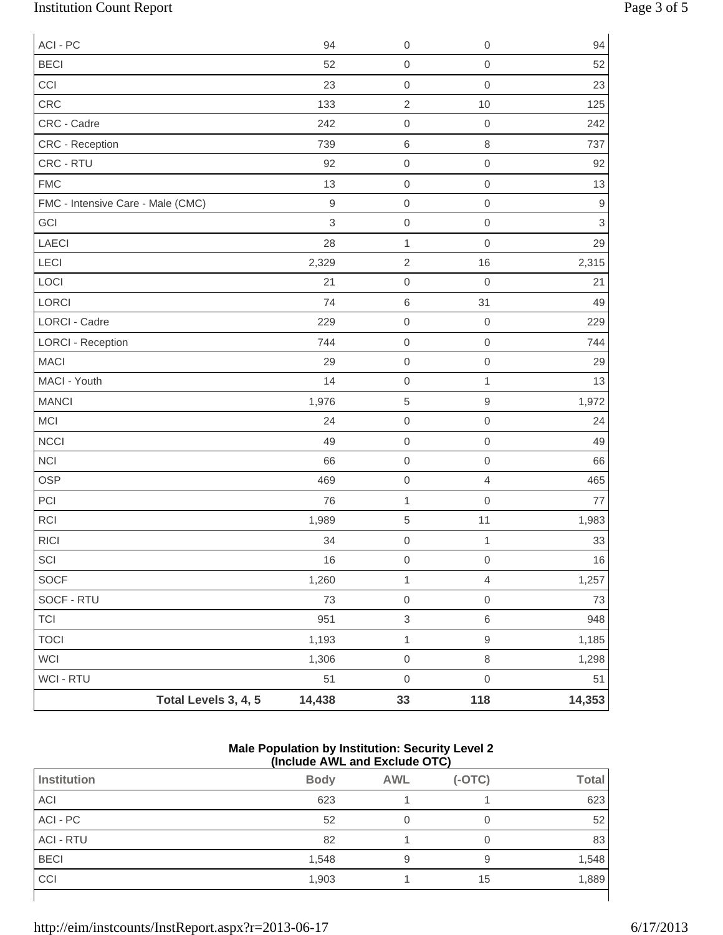# Institution Count Report Page 3 of 5

| ACI - PC                          |                      | 94               | $\boldsymbol{0}$          | 0                   | 94             |
|-----------------------------------|----------------------|------------------|---------------------------|---------------------|----------------|
| <b>BECI</b>                       |                      | 52               | $\mbox{O}$                | $\mathbf 0$         | 52             |
| CCI                               |                      | 23               | $\mbox{O}$                | $\mbox{O}$          | 23             |
| CRC                               |                      | 133              | $\sqrt{2}$                | 10                  | 125            |
| CRC - Cadre                       |                      | 242              | $\mbox{O}$                | $\mathbf 0$         | 242            |
| CRC - Reception                   |                      | 739              | $\,6\,$                   | $\,8\,$             | 737            |
| CRC - RTU                         |                      | 92               | $\mathbf 0$               | $\mathbf 0$         | 92             |
| <b>FMC</b>                        |                      | 13               | $\mbox{O}$                | $\mathsf{O}\xspace$ | 13             |
| FMC - Intensive Care - Male (CMC) |                      | $\boldsymbol{9}$ | $\boldsymbol{0}$          | $\mathbf 0$         | $\hbox{9}$     |
| GCI                               |                      | 3                | $\mbox{O}$                | $\mathbf 0$         | $\mathfrak{S}$ |
| LAECI                             |                      | 28               | $\mathbf{1}$              | $\mathbf 0$         | 29             |
| LECI                              |                      | 2,329            | $\sqrt{2}$                | 16                  | 2,315          |
| LOCI                              |                      | 21               | $\mbox{O}$                | $\mathbf 0$         | 21             |
| LORCI                             |                      | 74               | $\,6$                     | 31                  | 49             |
| <b>LORCI - Cadre</b>              |                      | 229              | $\mbox{O}$                | $\boldsymbol{0}$    | 229            |
| <b>LORCI - Reception</b>          |                      | 744              | $\mbox{O}$                | $\mathbf 0$         | 744            |
| <b>MACI</b>                       |                      | 29               | $\boldsymbol{0}$          | $\mathbf 0$         | 29             |
| MACI - Youth                      |                      | 14               | $\mbox{O}$                | $\mathbf{1}$        | 13             |
| <b>MANCI</b>                      |                      | 1,976            | $\,$ 5 $\,$               | $\mathsf 9$         | 1,972          |
| <b>MCI</b>                        |                      | 24               | $\mbox{O}$                | $\mbox{O}$          | 24             |
| <b>NCCI</b>                       |                      | 49               | $\mbox{O}$                | $\mathbf 0$         | 49             |
| <b>NCI</b>                        |                      | 66               | $\boldsymbol{0}$          | $\mathbf 0$         | 66             |
| <b>OSP</b>                        |                      | 469              | $\mbox{O}$                | $\overline{4}$      | 465            |
| PCI                               |                      | 76               | $\mathbf{1}$              | $\mathsf{O}\xspace$ | 77             |
| <b>RCI</b>                        |                      | 1,989            | $\,$ 5 $\,$               | 11                  | 1,983          |
| <b>RICI</b>                       |                      | 34               | $\mbox{O}$                | $\mathbf 1$         | 33             |
| $\ensuremath{\mathsf{SCI}}$       |                      | 16               | $\mathbf 0$               | $\boldsymbol{0}$    | $16\,$         |
| SOCF                              |                      | 1,260            | $\mathbf{1}$              | $\overline{4}$      | 1,257          |
| SOCF - RTU                        |                      | 73               | $\mbox{O}$                | $\,0\,$             | 73             |
| <b>TCI</b>                        |                      | 951              | $\ensuremath{\mathsf{3}}$ | $\,6\,$             | 948            |
| <b>TOCI</b>                       |                      | 1,193            | $\mathbf{1}$              | $\hbox{9}$          | 1,185          |
| WCI                               |                      | 1,306            | $\mathsf{O}\xspace$       | $\,8\,$             | 1,298          |
| WCI - RTU                         |                      | 51               | $\mathsf 0$               | $\mathbf 0$         | 51             |
|                                   | Total Levels 3, 4, 5 | 14,438           | 33                        | 118                 | 14,353         |

#### **Male Population by Institution: Security Level 2 (Include AWL and Exclude OTC)**

| <b>Institution</b> | <b>Body</b> | <b>AWL</b> | $(-OTC)$ | <b>Total</b> |  |
|--------------------|-------------|------------|----------|--------------|--|
| <b>ACI</b>         | 623         |            |          | 623          |  |
| ACI - PC           | 52          |            |          | 52           |  |
| <b>ACI - RTU</b>   | 82          |            |          | 83           |  |
| <b>BECI</b>        | 1,548       | 9          |          | 1,548        |  |
| CCI                | 1,903       |            | 15       | 1,889        |  |
|                    |             |            |          |              |  |

http://eim/instcounts/InstReport.aspx?r=2013-06-17 6/17/2013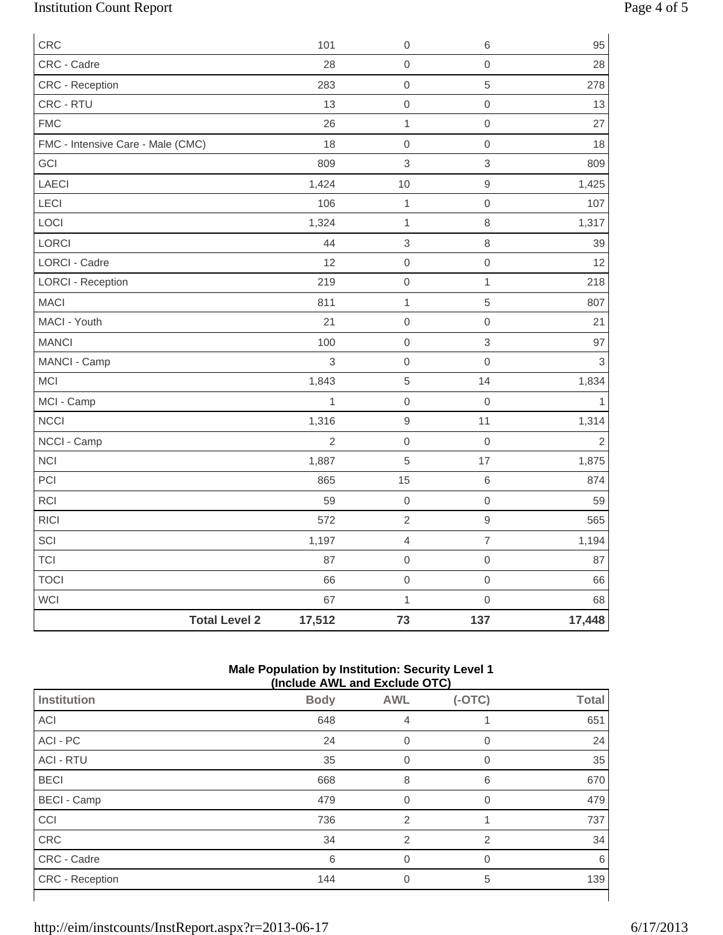# Institution Count Report Page 4 of 5

| CRC                               | 101            | $\boldsymbol{0}$          | 6                   | 95             |
|-----------------------------------|----------------|---------------------------|---------------------|----------------|
| CRC - Cadre                       | 28             | $\mathbf 0$               | $\mathsf{O}\xspace$ | 28             |
| CRC - Reception                   | 283            | $\mathbf 0$               | 5                   | 278            |
| CRC - RTU                         | 13             | $\mathbf 0$               | $\mathsf{O}\xspace$ | 13             |
| <b>FMC</b>                        | 26             | $\mathbf{1}$              | $\mathsf{O}\xspace$ | 27             |
| FMC - Intensive Care - Male (CMC) | 18             | $\mathbf 0$               | $\mathsf{O}\xspace$ | 18             |
| GCI                               | 809            | $\mathfrak{Z}$            | $\,$ 3 $\,$         | 809            |
| LAECI                             | 1,424          | 10                        | $\hbox{9}$          | 1,425          |
| LECI                              | 106            | $\mathbf 1$               | $\mathbf 0$         | 107            |
| LOCI                              | 1,324          | $\mathbf{1}$              | 8                   | 1,317          |
| LORCI                             | 44             | $\ensuremath{\mathsf{3}}$ | $\,8\,$             | 39             |
| <b>LORCI - Cadre</b>              | 12             | $\mathbf 0$               | $\mathsf{O}\xspace$ | 12             |
| <b>LORCI - Reception</b>          | 219            | $\mathbf 0$               | $\mathbf{1}$        | 218            |
| <b>MACI</b>                       | 811            | $\mathbf{1}$              | 5                   | 807            |
| MACI - Youth                      | 21             | $\mathbf 0$               | $\mathsf{O}\xspace$ | 21             |
| <b>MANCI</b>                      | 100            | $\mathbf 0$               | $\mathfrak{S}$      | 97             |
| MANCI - Camp                      | 3              | $\mathbf 0$               | $\mathsf{O}\xspace$ | $\mathbf{3}$   |
| MCI                               | 1,843          | $\,$ 5 $\,$               | 14                  | 1,834          |
| MCI - Camp                        | $\mathbf{1}$   | $\mathbf 0$               | $\mathsf{O}\xspace$ | $\mathbf{1}$   |
| NCCI                              | 1,316          | $\boldsymbol{9}$          | 11                  | 1,314          |
| NCCI - Camp                       | $\overline{2}$ | $\mathbf 0$               | $\mathbf 0$         | $\overline{2}$ |
| <b>NCI</b>                        | 1,887          | $\sqrt{5}$                | 17                  | 1,875          |
| PCI                               | 865            | 15                        | $\,6$               | 874            |
| RCI                               | 59             | $\boldsymbol{0}$          | $\mathsf{O}\xspace$ | 59             |
| <b>RICI</b>                       | 572            | $\sqrt{2}$                | $\hbox{9}$          | 565            |
| SCI                               | 1,197          | $\overline{4}$            | $\overline{7}$      | 1,194          |
| <b>TCI</b>                        | 87             | $\mathbf 0$               | $\mathsf{O}\xspace$ | 87             |
| <b>TOCI</b>                       | 66             | $\mathbf 0$               | $\mathsf{O}\xspace$ | 66             |
| <b>WCI</b>                        | 67             | $\mathbf{1}$              | $\mathsf{O}\xspace$ | 68             |
| <b>Total Level 2</b>              | 17,512         | 73                        | 137                 | 17,448         |

#### **Male Population by Institution: Security Level 1 (Include AWL and Exclude OTC)**

|                        | (include AWL and Exclude OTC) |                |          |              |  |
|------------------------|-------------------------------|----------------|----------|--------------|--|
| <b>Institution</b>     | <b>Body</b>                   | <b>AWL</b>     | $(-OTC)$ | <b>Total</b> |  |
| ACI                    | 648                           | 4              |          | 651          |  |
| ACI - PC               | 24                            | 0              | 0        | 24           |  |
| <b>ACI - RTU</b>       | 35                            | 0              | $\Omega$ | 35           |  |
| <b>BECI</b>            | 668                           | 8              | 6        | 670          |  |
| <b>BECI - Camp</b>     | 479                           | $\Omega$       | $\Omega$ | 479          |  |
| CCI                    | 736                           | $\overline{2}$ |          | 737          |  |
| CRC                    | 34                            | $\overline{2}$ | 2        | 34           |  |
| CRC - Cadre            | 6                             | $\Omega$       | $\Omega$ | 6            |  |
| <b>CRC</b> - Reception | 144                           | 0              | 5        | 139          |  |
|                        |                               |                |          |              |  |

http://eim/instcounts/InstReport.aspx?r=2013-06-17 6/17/2013